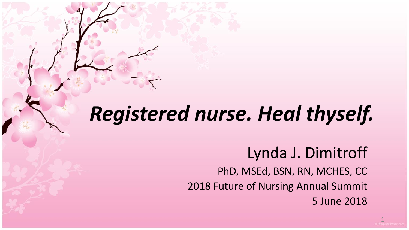#### *Registered nurse. Heal thyself.*

#### Lynda J. Dimitroff

PhD, MSEd, BSN, RN, MCHES, CC 2018 Future of Nursing Annual Summit 5 June 2018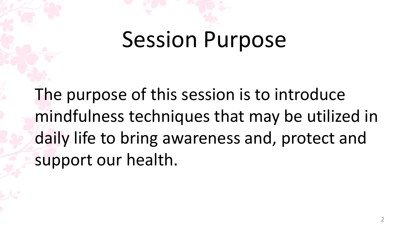# Session Purpose

The purpose of this session is to introduce mindfulness techniques that may be utilized in daily life to bring awareness and, protect and support our health.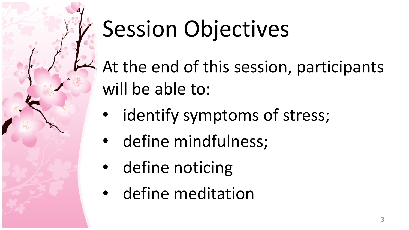

# Session Objectives

At the end of this session, participants will be able to:

- identify symptoms of stress;
- define mindfulness;
- define noticing
- define meditation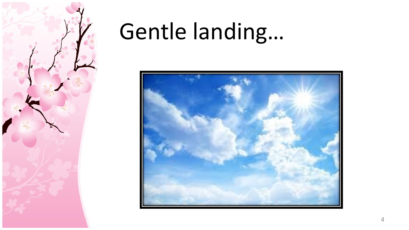

## Gentle landing…

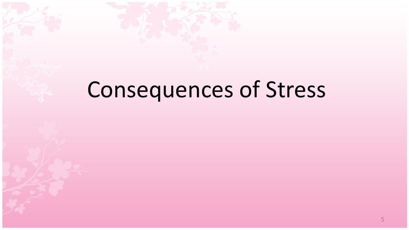## Consequences of Stress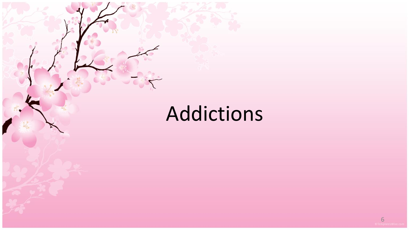#### Addictions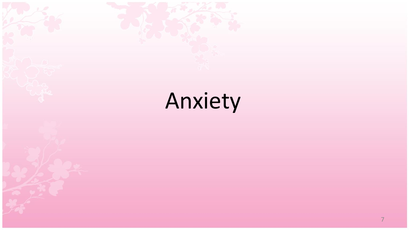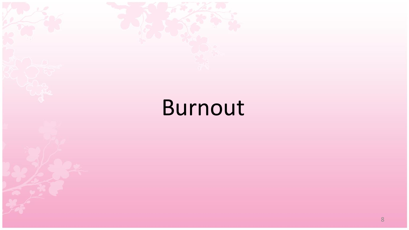## Burnout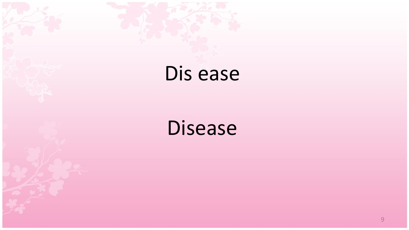#### Dis ease

#### Disease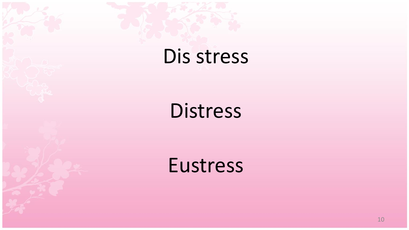#### Dis stress

**Distress** 

Eustress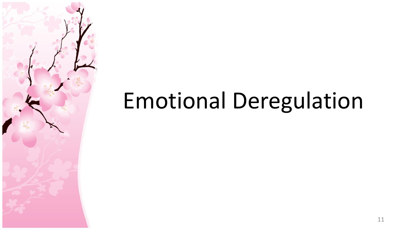## Emotional Deregulation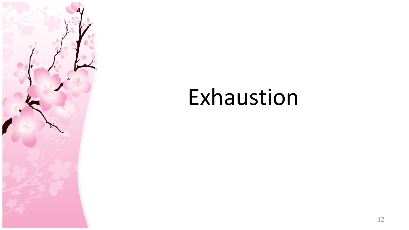

### Exhaustion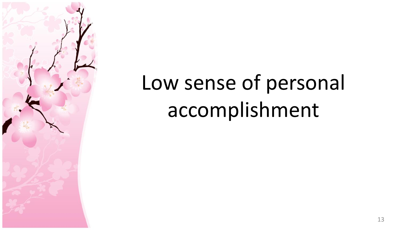

## Low sense of personal accomplishment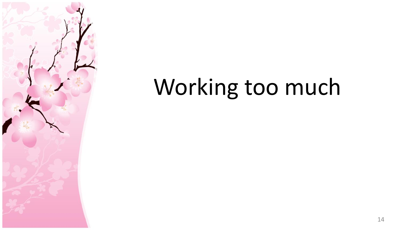

## Working too much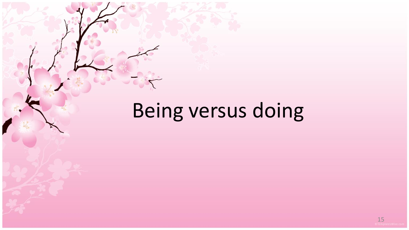## Being versus doing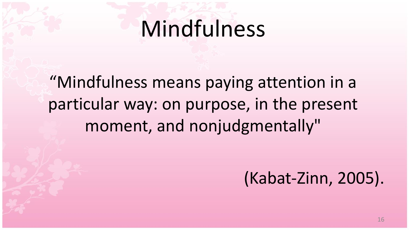#### Mindfulness

"Mindfulness means paying attention in a particular way: on purpose, in the present moment, and nonjudgmentally"

(Kabat-Zinn, 2005).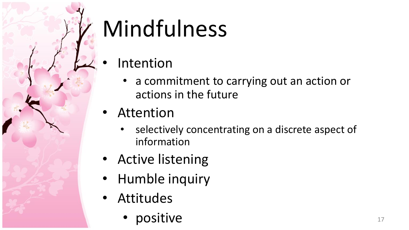# Mindfulness

- **Intention** 
	- a commitment to carrying out an action or actions in the future
- Attention
	- selectively concentrating on a discrete aspect of information
- Active listening
- Humble inquiry
- Attitudes
	- **positive** the set of the set of the set of the set of the set of the set of the set of the set of the set of the set of the set of the set of the set of the set of the set of the set of the set of the set of the set of th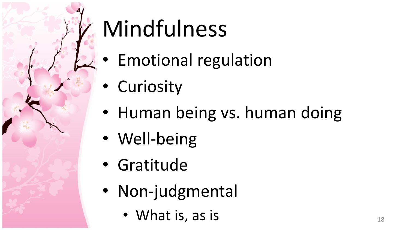

# Mindfulness

- Emotional regulation
- Curiosity
- Human being vs. human doing
- Well-being
- Gratitude
- Non-judgmental
	- What is, as is 18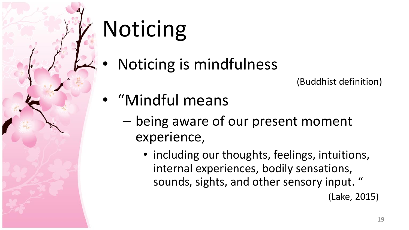# Noticing

• Noticing is mindfulness

(Buddhist definition)

- "Mindful means
	- being aware of our present moment experience,
		- including our thoughts, feelings, intuitions, internal experiences, bodily sensations, sounds, sights, and other sensory input. " (Lake, 2015)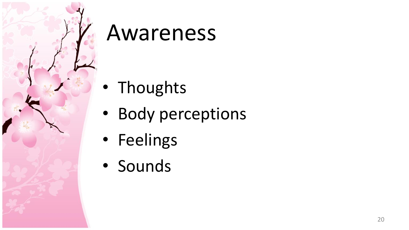

#### Awareness

- Thoughts
- Body perceptions
- Feelings
- Sounds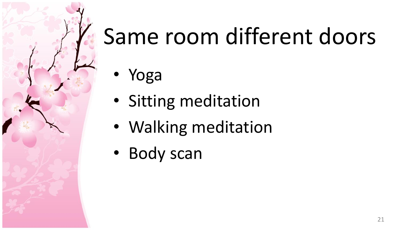

- Yoga
- Sitting meditation
- Walking meditation
- Body scan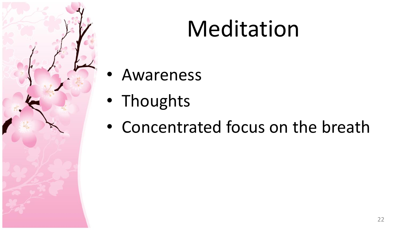

## Meditation

- **Awareness**
- Thoughts
- Concentrated focus on the breath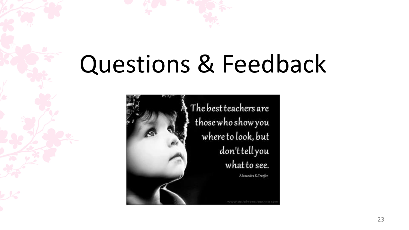# Questions & Feedback



The best teachers are those who show you where to look, but don't tell you what to see. Alexandra K.Trenfor

www.social-consciousness.com